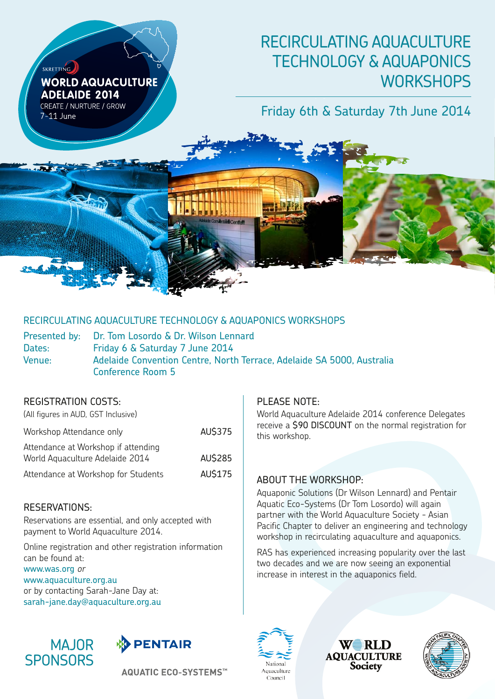# RECIRCULATING AQUACULTURE TECHNOLOGY & AQUAPONICS **WORKSHOPS**

# Friday 6th & Saturday 7th June 2014

RECIRCULATING AQUACULTURE TECHNOLOGY & AQUAPONICS WORKSHOPS

Presented by: Dr. Tom Losordo & Dr. Wilson Lennard Dates: Friday 6 & Saturday 7 June 2014 Venue: Adelaide Convention Centre, North Terrace, Adelaide SA 5000, Australia Conference Room 5

### Registration Costs:

SKRETTING

 $7-11$  lune

**WORLD AQUACULTURE** 

**ADELAIDE 2014** CREATE / NURTURE / GROW

(All figures in AUD, GST Inclusive) Workshop Attendance only **AU\$375** Attendance at Workshop if attending World Aquaculture Adelaide 2014 AU\$285 Attendance at Workshop for Students AU\$175

### Reservations:

Reservations are essential, and only accepted with payment to World Aquaculture 2014.

Online registration and other registration information can be found at: www.was.org or www.aquaculture.org.au or by contacting Sarah-Jane Day at: sarah-jane.day@aquaculture.org.au





**AQUATIC ECO-SYSTEMS™** 

### PLEASE NOTE:

World Aquaculture Adelaide 2014 conference Delegates receive a **\$90 DISCOUNT** on the normal registration for this workshop.

### About the Workshop:

Aquaponic Solutions (Dr Wilson Lennard) and Pentair Aquatic Eco-Systems (Dr Tom Losordo) will again partner with the World Aquaculture Society - Asian Pacific Chapter to deliver an engineering and technology workshop in recirculating aquaculture and aquaponics.

RAS has experienced increasing popularity over the last two decades and we are now seeing an exponential increase in interest in the aquaponics field.



WERLD **AQUACULTURE Society** 

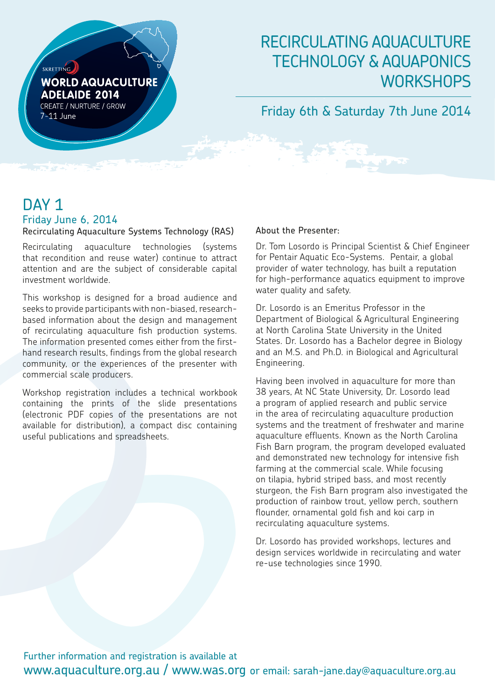

# RECIRCULATING AQUACULTURE TECHNOLOGY & AQUAPONICS **WORKSHOPS**

## Friday 6th & Saturday 7th June 2014

# DAY<sub>1</sub> Friday June 6, 2014

Recirculating Aquaculture Systems Technology (RAS)

Recirculating aquaculture technologies (systems that recondition and reuse water) continue to attract attention and are the subject of considerable capital investment worldwide.

This workshop is designed for a broad audience and seeks to provide participants with non-biased, researchbased information about the design and management of recirculating aquaculture fish production systems. The information presented comes either from the firsthand research results, findings from the global research community, or the experiences of the presenter with commercial scale producers.

Workshop registration includes a technical workbook containing the prints of the slide presentations (electronic PDF copies of the presentations are not available for distribution), a compact disc containing useful publications and spreadsheets.

#### About the Presenter:

Dr. Tom Losordo is Principal Scientist & Chief Engineer for Pentair Aquatic Eco-Systems. Pentair, a global provider of water technology, has built a reputation for high-performance aquatics equipment to improve water quality and safety.

Dr. Losordo is an Emeritus Professor in the Department of Biological & Agricultural Engineering at North Carolina State University in the United States. Dr. Losordo has a Bachelor degree in Biology and an M.S. and Ph.D. in Biological and Agricultural Engineering.

Having been involved in aquaculture for more than 38 years, At NC State University, Dr. Losordo lead a program of applied research and public service in the area of recirculating aquaculture production systems and the treatment of freshwater and marine aquaculture effluents. Known as the North Carolina Fish Barn program, the program developed evaluated and demonstrated new technology for intensive fish farming at the commercial scale. While focusing on tilapia, hybrid striped bass, and most recently sturgeon, the Fish Barn program also investigated the production of rainbow trout, yellow perch, southern flounder, ornamental gold fish and koi carp in recirculating aquaculture systems.

Dr. Losordo has provided workshops, lectures and design services worldwide in recirculating and water re-use technologies since 1990.